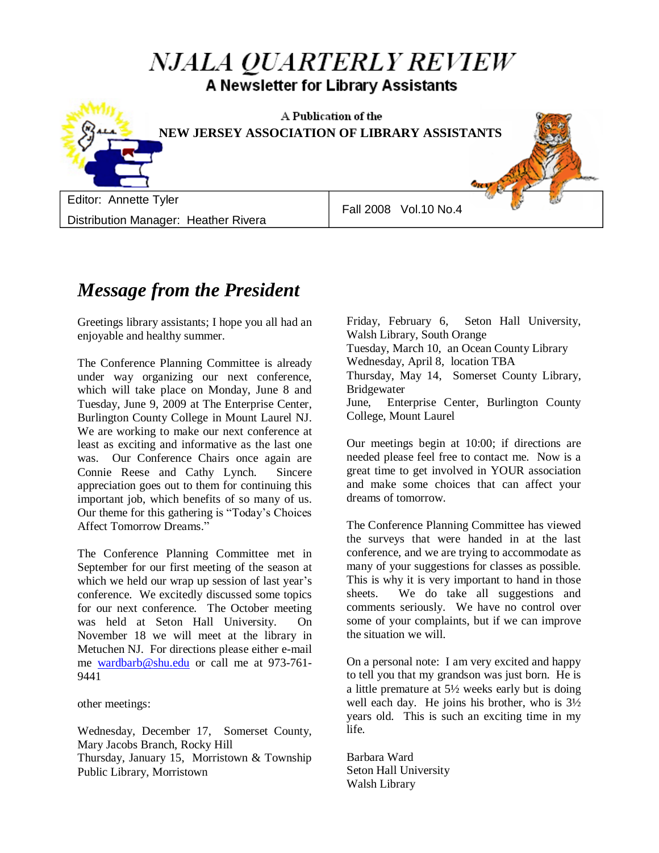# NJALA QUARTERLY REVIEW A Newsletter for Library Assistants



## *Message from the President*

Greetings library assistants; I hope you all had an enjoyable and healthy summer.

The Conference Planning Committee is already under way organizing our next conference, which will take place on Monday, June 8 and Tuesday, June 9, 2009 at The Enterprise Center, Burlington County College in Mount Laurel NJ. We are working to make our next conference at least as exciting and informative as the last one was. Our Conference Chairs once again are Connie Reese and Cathy Lynch. Sincere appreciation goes out to them for continuing this important job, which benefits of so many of us. Our theme for this gathering is "Today"s Choices Affect Tomorrow Dreams."

The Conference Planning Committee met in September for our first meeting of the season at which we held our wrap up session of last year's conference. We excitedly discussed some topics for our next conference. The October meeting was held at Seton Hall University. On November 18 we will meet at the library in Metuchen NJ. For directions please either e-mail me [wardbarb@shu.edu](mailto:wardbarb@shu.edu) or call me at 973-761- 9441

other meetings:

Wednesday, December 17, Somerset County, Mary Jacobs Branch, Rocky Hill Thursday, January 15, Morristown & Township Public Library, Morristown

Friday, February 6, Seton Hall University, Walsh Library, South Orange Tuesday, March 10, an Ocean County Library Wednesday, April 8, location TBA Thursday, May 14, Somerset County Library, Bridgewater June, Enterprise Center, Burlington County College, Mount Laurel

Our meetings begin at 10:00; if directions are needed please feel free to contact me. Now is a great time to get involved in YOUR association and make some choices that can affect your dreams of tomorrow.

The Conference Planning Committee has viewed the surveys that were handed in at the last conference, and we are trying to accommodate as many of your suggestions for classes as possible. This is why it is very important to hand in those sheets. We do take all suggestions and comments seriously. We have no control over some of your complaints, but if we can improve the situation we will.

On a personal note: I am very excited and happy to tell you that my grandson was just born. He is a little premature at 5½ weeks early but is doing well each day. He joins his brother, who is  $3\frac{1}{2}$ years old. This is such an exciting time in my life.

Barbara Ward Seton Hall University Walsh Library